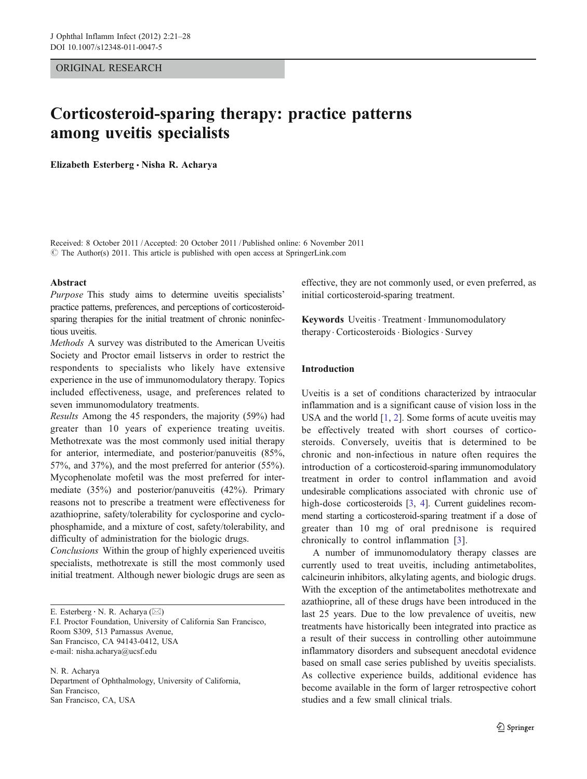### ORIGINAL RESEARCH

# Corticosteroid-sparing therapy: practice patterns among uveitis specialists

Elizabeth Esterberg & Nisha R. Acharya

Received: 8 October 2011 /Accepted: 20 October 2011 / Published online: 6 November 2011  $\odot$  The Author(s) 2011. This article is published with open access at SpringerLink.com

#### Abstract

Purpose This study aims to determine uveitis specialists' practice patterns, preferences, and perceptions of corticosteroidsparing therapies for the initial treatment of chronic noninfectious uveitis.

Methods A survey was distributed to the American Uveitis Society and Proctor email listservs in order to restrict the respondents to specialists who likely have extensive experience in the use of immunomodulatory therapy. Topics included effectiveness, usage, and preferences related to seven immunomodulatory treatments.

Results Among the 45 responders, the majority (59%) had greater than 10 years of experience treating uveitis. Methotrexate was the most commonly used initial therapy for anterior, intermediate, and posterior/panuveitis (85%, 57%, and 37%), and the most preferred for anterior (55%). Mycophenolate mofetil was the most preferred for intermediate (35%) and posterior/panuveitis (42%). Primary reasons not to prescribe a treatment were effectiveness for azathioprine, safety/tolerability for cyclosporine and cyclophosphamide, and a mixture of cost, safety/tolerability, and difficulty of administration for the biologic drugs.

Conclusions Within the group of highly experienced uveitis specialists, methotrexate is still the most commonly used initial treatment. Although newer biologic drugs are seen as

E. Esterberg  $\cdot$  N. R. Acharya ( $\boxtimes$ ) F.I. Proctor Foundation, University of California San Francisco, Room S309, 513 Parnassus Avenue, San Francisco, CA 94143-0412, USA

e-mail: nisha.acharya@ucsf.edu

N. R. Acharya Department of Ophthalmology, University of California, San Francisco, San Francisco, CA, USA

effective, they are not commonly used, or even preferred, as initial corticosteroid-sparing treatment.

Keywords Uveitis · Treatment · Immunomodulatory therapy. Corticosteroids . Biologics. Survey

#### Introduction

Uveitis is a set of conditions characterized by intraocular inflammation and is a significant cause of vision loss in the USA and the world [\[1](#page-6-0), [2\]](#page-6-0). Some forms of acute uveitis may be effectively treated with short courses of corticosteroids. Conversely, uveitis that is determined to be chronic and non-infectious in nature often requires the introduction of a corticosteroid-sparing immunomodulatory treatment in order to control inflammation and avoid undesirable complications associated with chronic use of high-dose corticosteroids [\[3,](#page-6-0) [4](#page-6-0)]. Current guidelines recommend starting a corticosteroid-sparing treatment if a dose of greater than 10 mg of oral prednisone is required chronically to control inflammation [[3\]](#page-6-0).

A number of immunomodulatory therapy classes are currently used to treat uveitis, including antimetabolites, calcineurin inhibitors, alkylating agents, and biologic drugs. With the exception of the antimetabolites methotrexate and azathioprine, all of these drugs have been introduced in the last 25 years. Due to the low prevalence of uveitis, new treatments have historically been integrated into practice as a result of their success in controlling other autoimmune inflammatory disorders and subsequent anecdotal evidence based on small case series published by uveitis specialists. As collective experience builds, additional evidence has become available in the form of larger retrospective cohort studies and a few small clinical trials.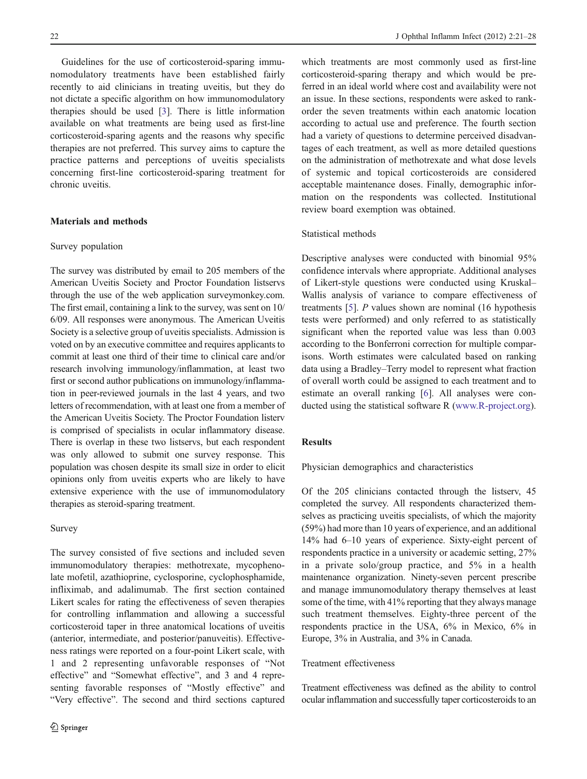Guidelines for the use of corticosteroid-sparing immunomodulatory treatments have been established fairly recently to aid clinicians in treating uveitis, but they do not dictate a specific algorithm on how immunomodulatory therapies should be used [\[3](#page-6-0)]. There is little information available on what treatments are being used as first-line corticosteroid-sparing agents and the reasons why specific therapies are not preferred. This survey aims to capture the practice patterns and perceptions of uveitis specialists concerning first-line corticosteroid-sparing treatment for chronic uveitis.

#### Materials and methods

#### Survey population

The survey was distributed by email to 205 members of the American Uveitis Society and Proctor Foundation listservs through the use of the web application surveymonkey.com. The first email, containing a link to the survey, was sent on 10/ 6/09. All responses were anonymous. The American Uveitis Society is a selective group of uveitis specialists. Admission is voted on by an executive committee and requires applicants to commit at least one third of their time to clinical care and/or research involving immunology/inflammation, at least two first or second author publications on immunology/inflammation in peer-reviewed journals in the last 4 years, and two letters of recommendation, with at least one from a member of the American Uveitis Society. The Proctor Foundation listerv is comprised of specialists in ocular inflammatory disease. There is overlap in these two listservs, but each respondent was only allowed to submit one survey response. This population was chosen despite its small size in order to elicit opinions only from uveitis experts who are likely to have extensive experience with the use of immunomodulatory therapies as steroid-sparing treatment.

#### Survey

The survey consisted of five sections and included seven immunomodulatory therapies: methotrexate, mycophenolate mofetil, azathioprine, cyclosporine, cyclophosphamide, infliximab, and adalimumab. The first section contained Likert scales for rating the effectiveness of seven therapies for controlling inflammation and allowing a successful corticosteroid taper in three anatomical locations of uveitis (anterior, intermediate, and posterior/panuveitis). Effectiveness ratings were reported on a four-point Likert scale, with 1 and 2 representing unfavorable responses of "Not effective" and "Somewhat effective", and 3 and 4 representing favorable responses of "Mostly effective" and "Very effective". The second and third sections captured

which treatments are most commonly used as first-line corticosteroid-sparing therapy and which would be preferred in an ideal world where cost and availability were not an issue. In these sections, respondents were asked to rankorder the seven treatments within each anatomic location according to actual use and preference. The fourth section had a variety of questions to determine perceived disadvantages of each treatment, as well as more detailed questions on the administration of methotrexate and what dose levels of systemic and topical corticosteroids are considered acceptable maintenance doses. Finally, demographic information on the respondents was collected. Institutional review board exemption was obtained.

#### Statistical methods

Descriptive analyses were conducted with binomial 95% confidence intervals where appropriate. Additional analyses of Likert-style questions were conducted using Kruskal– Wallis analysis of variance to compare effectiveness of treatments [[5\]](#page-6-0). P values shown are nominal (16 hypothesis tests were performed) and only referred to as statistically significant when the reported value was less than 0.003 according to the Bonferroni correction for multiple comparisons. Worth estimates were calculated based on ranking data using a Bradley–Terry model to represent what fraction of overall worth could be assigned to each treatment and to estimate an overall ranking [[6\]](#page-6-0). All analyses were conducted using the statistical software R [\(www.R-project.org\)](http://www.R-project.org).

## Results

Physician demographics and characteristics

Of the 205 clinicians contacted through the listserv, 45 completed the survey. All respondents characterized themselves as practicing uveitis specialists, of which the majority (59%) had more than 10 years of experience, and an additional 14% had 6–10 years of experience. Sixty-eight percent of respondents practice in a university or academic setting, 27% in a private solo/group practice, and 5% in a health maintenance organization. Ninety-seven percent prescribe and manage immunomodulatory therapy themselves at least some of the time, with 41% reporting that they always manage such treatment themselves. Eighty-three percent of the respondents practice in the USA, 6% in Mexico, 6% in Europe, 3% in Australia, and 3% in Canada.

#### Treatment effectiveness

Treatment effectiveness was defined as the ability to control ocular inflammation and successfully taper corticosteroids to an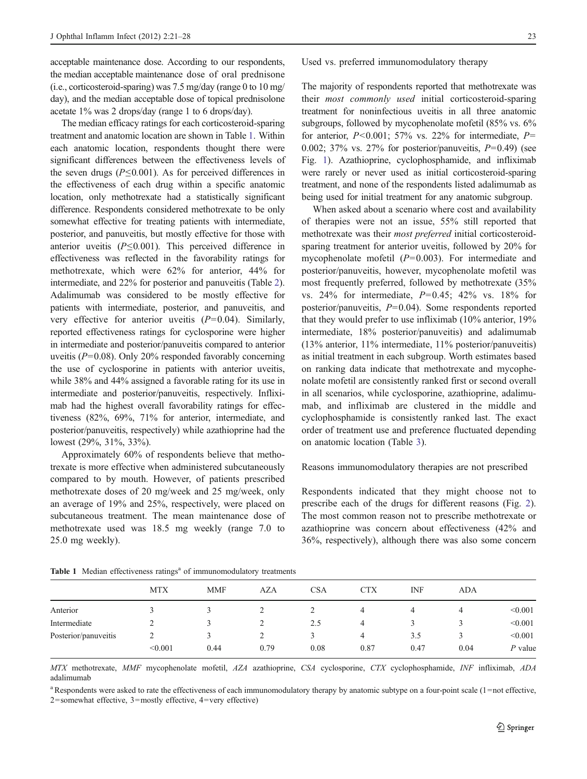acceptable maintenance dose. According to our respondents, the median acceptable maintenance dose of oral prednisone (i.e., corticosteroid-sparing) was 7.5 mg/day (range 0 to 10 mg/ day), and the median acceptable dose of topical prednisolone acetate 1% was 2 drops/day (range 1 to 6 drops/day).

The median efficacy ratings for each corticosteroid-sparing treatment and anatomic location are shown in Table 1. Within each anatomic location, respondents thought there were significant differences between the effectiveness levels of the seven drugs ( $P \le 0.001$ ). As for perceived differences in the effectiveness of each drug within a specific anatomic location, only methotrexate had a statistically significant difference. Respondents considered methotrexate to be only somewhat effective for treating patients with intermediate, posterior, and panuveitis, but mostly effective for those with anterior uveitis  $(P \le 0.001)$ . This perceived difference in effectiveness was reflected in the favorability ratings for methotrexate, which were 62% for anterior, 44% for intermediate, and 22% for posterior and panuveitis (Table [2\)](#page-3-0). Adalimumab was considered to be mostly effective for patients with intermediate, posterior, and panuveitis, and very effective for anterior uveitis  $(P=0.04)$ . Similarly, reported effectiveness ratings for cyclosporine were higher in intermediate and posterior/panuveitis compared to anterior uveitis ( $P=0.08$ ). Only 20% responded favorably concerning the use of cyclosporine in patients with anterior uveitis, while 38% and 44% assigned a favorable rating for its use in intermediate and posterior/panuveitis, respectively. Infliximab had the highest overall favorability ratings for effectiveness (82%, 69%, 71% for anterior, intermediate, and posterior/panuveitis, respectively) while azathioprine had the lowest (29%, 31%, 33%).

Approximately 60% of respondents believe that methotrexate is more effective when administered subcutaneously compared to by mouth. However, of patients prescribed methotrexate doses of 20 mg/week and 25 mg/week, only an average of 19% and 25%, respectively, were placed on subcutaneous treatment. The mean maintenance dose of methotrexate used was 18.5 mg weekly (range 7.0 to 25.0 mg weekly).

Used vs. preferred immunomodulatory therapy

The majority of respondents reported that methotrexate was their most commonly used initial corticosteroid-sparing treatment for noninfectious uveitis in all three anatomic subgroups, followed by mycophenolate mofetil (85% vs. 6% for anterior,  $P<0.001$ ; 57% vs. 22% for intermediate,  $P=$ 0.002; 37% vs. 27% for posterior/panuveitis,  $P=0.49$ ) (see Fig. [1](#page-3-0)). Azathioprine, cyclophosphamide, and infliximab were rarely or never used as initial corticosteroid-sparing treatment, and none of the respondents listed adalimumab as being used for initial treatment for any anatomic subgroup.

When asked about a scenario where cost and availability of therapies were not an issue, 55% still reported that methotrexate was their most preferred initial corticosteroidsparing treatment for anterior uveitis, followed by 20% for mycophenolate mofetil  $(P=0.003)$ . For intermediate and posterior/panuveitis, however, mycophenolate mofetil was most frequently preferred, followed by methotrexate (35% vs. 24% for intermediate,  $P=0.45$ ; 42% vs. 18% for posterior/panuveitis, P=0.04). Some respondents reported that they would prefer to use infliximab (10% anterior, 19% intermediate, 18% posterior/panuveitis) and adalimumab (13% anterior, 11% intermediate, 11% posterior/panuveitis) as initial treatment in each subgroup. Worth estimates based on ranking data indicate that methotrexate and mycophenolate mofetil are consistently ranked first or second overall in all scenarios, while cyclosporine, azathioprine, adalimumab, and infliximab are clustered in the middle and cyclophosphamide is consistently ranked last. The exact order of treatment use and preference fluctuated depending on anatomic location (Table [3](#page-4-0)).

#### Reasons immunomodulatory therapies are not prescribed

Respondents indicated that they might choose not to prescribe each of the drugs for different reasons (Fig. [2\)](#page-4-0). The most common reason not to prescribe methotrexate or azathioprine was concern about effectiveness (42% and 36%, respectively), although there was also some concern

|                      | <b>MTX</b> | <b>MMF</b> | <b>AZA</b> | <b>CSA</b> | <b>CTX</b> | INF  | ADA  |           |
|----------------------|------------|------------|------------|------------|------------|------|------|-----------|
| Anterior             |            |            |            |            | 4          | 4    | 4    | < 0.001   |
| Intermediate         |            |            |            | 2.5        | 4          |      |      | < 0.001   |
| Posterior/panuveitis |            |            |            |            | 4          | 3.5  |      | < 0.001   |
|                      | < 0.001    | 0.44       | 0.79       | 0.08       | 0.87       | 0.47 | 0.04 | $P$ value |
|                      |            |            |            |            |            |      |      |           |

Table 1 Median effectiveness ratings<sup>a</sup> of immunomodulatory treatments

MTX methotrexate, MMF mycophenolate mofetil, AZA azathioprine, CSA cyclosporine, CTX cyclophosphamide, INF infliximab, ADA adalimumab

<sup>a</sup> Respondents were asked to rate the effectiveness of each immunomodulatory therapy by anatomic subtype on a four-point scale (1=not effective, 2=somewhat effective, 3=mostly effective, 4=very effective)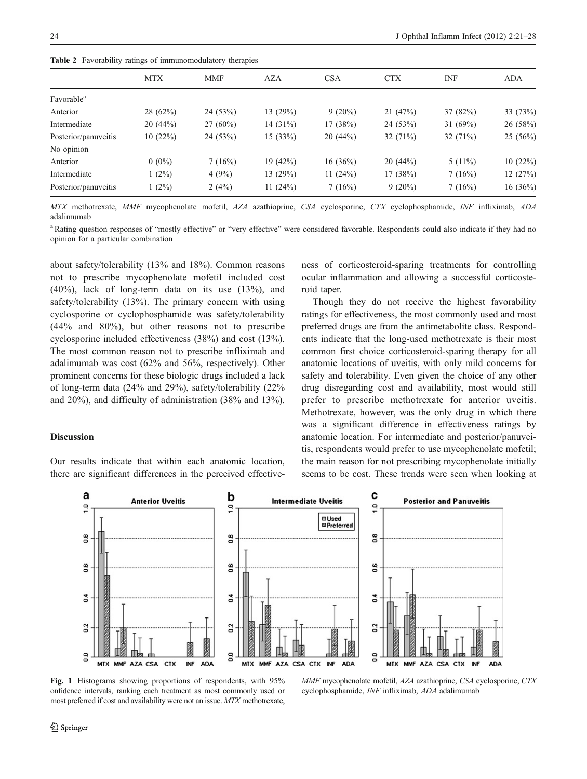<span id="page-3-0"></span>Table 2. Favorability ratings of immunomodulatory therapies

|                        | <b>MTX</b><br><b>CSA</b><br><b>CTX</b><br><b>INF</b><br><b>MMF</b><br>AZA |            |             |            |             |            |            |  |  |  |  |
|------------------------|---------------------------------------------------------------------------|------------|-------------|------------|-------------|------------|------------|--|--|--|--|
|                        |                                                                           |            |             |            |             |            | <b>ADA</b> |  |  |  |  |
| Favorable <sup>a</sup> |                                                                           |            |             |            |             |            |            |  |  |  |  |
| Anterior               | 28(62%)                                                                   | 24(53%)    | 13 $(29%)$  | $9(20\%)$  | 21(47%)     | 37(82%)    | 33 (73%)   |  |  |  |  |
| Intermediate           | 20(44%)                                                                   | $27(60\%)$ | 14 $(31\%)$ | 17(38%)    | 24(53%)     | 31 $(69%)$ | 26 (58%)   |  |  |  |  |
| Posterior/panuveitis   | 10(22%)                                                                   | 24(53%)    | 15(33%)     | 20(44%)    | 32 $(71\%)$ | 32(71%)    | 25(56%)    |  |  |  |  |
| No opinion             |                                                                           |            |             |            |             |            |            |  |  |  |  |
| Anterior               | $0(0\%)$                                                                  | 7(16%)     | 19(42%)     | 16(36%)    | 20(44%)     | $5(11\%)$  | 10(22%)    |  |  |  |  |
| Intermediate           | $1(2\%)$                                                                  | 4(9%)      | 13 $(29%)$  | 11 $(24%)$ | 17(38%)     | 7(16%)     | 12(27%)    |  |  |  |  |
| Posterior/panuveitis   | $1(2\%)$                                                                  | 2(4%)      | 11 $(24%)$  | 7(16%)     | $9(20\%)$   | 7(16%)     | $16(36\%)$ |  |  |  |  |

MTX methotrexate, MMF mycophenolate mofetil, AZA azathioprine, CSA cyclosporine, CTX cyclophosphamide, INF infliximab, ADA adalimumab

<sup>a</sup>Rating question responses of "mostly effective" or "very effective" were considered favorable. Respondents could also indicate if they had no opinion for a particular combination

about safety/tolerability (13% and 18%). Common reasons not to prescribe mycophenolate mofetil included cost (40%), lack of long-term data on its use (13%), and safety/tolerability (13%). The primary concern with using cyclosporine or cyclophosphamide was safety/tolerability (44% and 80%), but other reasons not to prescribe cyclosporine included effectiveness (38%) and cost (13%). The most common reason not to prescribe infliximab and adalimumab was cost (62% and 56%, respectively). Other prominent concerns for these biologic drugs included a lack of long-term data (24% and 29%), safety/tolerability (22% and 20%), and difficulty of administration (38% and 13%).

Our results indicate that within each anatomic location, there are significant differences in the perceived effective-

# ness of corticosteroid-sparing treatments for controlling ocular inflammation and allowing a successful corticosteroid taper.

Though they do not receive the highest favorability ratings for effectiveness, the most commonly used and most preferred drugs are from the antimetabolite class. Respondents indicate that the long-used methotrexate is their most common first choice corticosteroid-sparing therapy for all anatomic locations of uveitis, with only mild concerns for safety and tolerability. Even given the choice of any other drug disregarding cost and availability, most would still prefer to prescribe methotrexate for anterior uveitis. Methotrexate, however, was the only drug in which there was a significant difference in effectiveness ratings by anatomic location. For intermediate and posterior/panuveitis, respondents would prefer to use mycophenolate mofetil; the main reason for not prescribing mycophenolate initially seems to be cost. These trends were seen when looking at

#### a C b **Anterior Uveitis Intermediate Uveitis Posterior and Panuveitis**  $\overline{a}$  $\overline{a}$ Q **II** Used **Ø**Preferred 0.8  $0.8$  $\overline{0.8}$ 0.6 0.6 0.6  $0.4$  $0.4$  $\overline{a}$ 0.2  $0.2$  $0.2$  $\overline{a}$  $0.0$  $\overline{a}$ MTX MMF AZA CSA CTX INF **ADA MTX** MMF AZA CSA CTX **INF ADA MTX** MMF AZA CSA CTX **INF ADA**

Fig. 1 Histograms showing proportions of respondents, with 95% onfidence intervals, ranking each treatment as most commonly used or most preferred if cost and availability were not an issue. MTX methotrexate,

MMF mycophenolate mofetil, AZA azathioprine, CSA cyclosporine, CTX cyclophosphamide, INF infliximab, ADA adalimumab

Discussion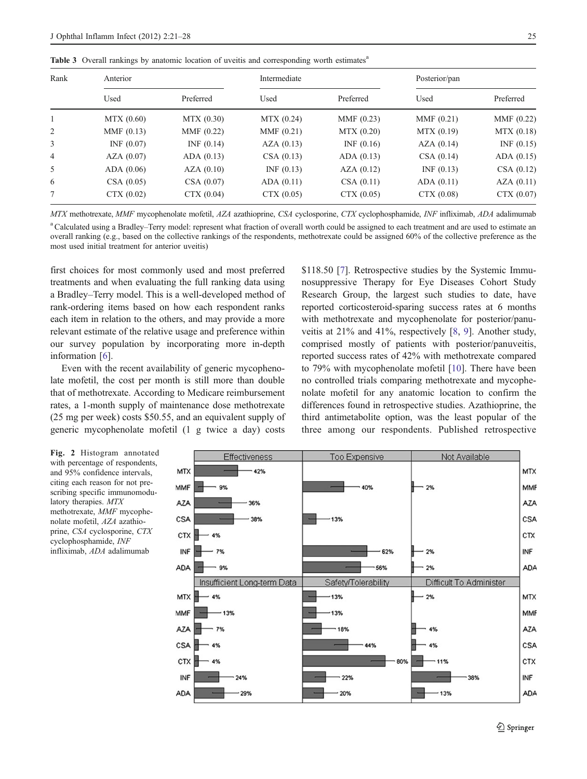<span id="page-4-0"></span>

|  |  |  |  |  |  |  |  |  | Table 3 Overall rankings by anatomic location of uveitis and corresponding worth estimates <sup>a</sup> |  |  |
|--|--|--|--|--|--|--|--|--|---------------------------------------------------------------------------------------------------------|--|--|
|--|--|--|--|--|--|--|--|--|---------------------------------------------------------------------------------------------------------|--|--|

| Rank           | Anterior   |            | Intermediate |              | Posterior/pan |            |  |
|----------------|------------|------------|--------------|--------------|---------------|------------|--|
|                | Used       | Preferred  | Used         | Preferred    | Used          | Preferred  |  |
|                | MTX (0.60) | MTX (0.30) | MTX (0.24)   | MMF $(0.23)$ | MMF(0.21)     | MMF(0.22)  |  |
| 2              | MMF(0.13)  | MMF(0.22)  | MMF(0.21)    | MTX(0.20)    | MTX (0.19)    | MTX(0.18)  |  |
| 3              | INF(0.07)  | INF(0.14)  | AZA(0.13)    | INF(0.16)    | AZA(0.14)     | INF(0.15)  |  |
| $\overline{4}$ | AZA(0.07)  | ADA (0.13) | CSA(0.13)    | ADA (0.13)   | CSA(0.14)     | ADA (0.15) |  |
| 5              | ADA(0.06)  | AZA(0.10)  | INF(0.13)    | AZA(0.12)    | INF(0.13)     | CSA(0.12)  |  |
| 6              | CSA(0.05)  | CSA(0.07)  | ADA (0.11)   | CSA(0.11)    | ADA (0.11)    | AZA(0.11)  |  |
| 7              | CTX(0.02)  | CTX (0.04) | CTX(0.05)    | CTX(0.05)    | CTX (0.08)    | CTX(0.07)  |  |

MTX methotrexate, MMF mycophenolate mofetil, AZA azathioprine, CSA cyclosporine, CTX cyclophosphamide, INF infliximab, ADA adalimumab

<sup>a</sup>Calculated using a Bradley–Terry model: represent what fraction of overall worth could be assigned to each treatment and are used to estimate an overall ranking (e.g., based on the collective rankings of the respondents, methotrexate could be assigned 60% of the collective preference as the most used initial treatment for anterior uveitis)

first choices for most commonly used and most preferred treatments and when evaluating the full ranking data using a Bradley–Terry model. This is a well-developed method of rank-ordering items based on how each respondent ranks each item in relation to the others, and may provide a more relevant estimate of the relative usage and preference within our survey population by incorporating more in-depth information [\[6](#page-6-0)].

Even with the recent availability of generic mycophenolate mofetil, the cost per month is still more than double that of methotrexate. According to Medicare reimbursement rates, a 1-month supply of maintenance dose methotrexate (25 mg per week) costs \$50.55, and an equivalent supply of generic mycophenolate mofetil (1 g twice a day) costs \$118.50 [\[7](#page-6-0)]. Retrospective studies by the Systemic Immunosuppressive Therapy for Eye Diseases Cohort Study Research Group, the largest such studies to date, have reported corticosteroid-sparing success rates at 6 months with methotrexate and mycophenolate for posterior/panuveitis at 21% and 41%, respectively [[8,](#page-6-0) [9\]](#page-6-0). Another study, comprised mostly of patients with posterior/panuveitis, reported success rates of 42% with methotrexate compared to 79% with mycophenolate mofetil [\[10](#page-6-0)]. There have been no controlled trials comparing methotrexate and mycophenolate mofetil for any anatomic location to confirm the differences found in retrospective studies. Azathioprine, the third antimetabolite option, was the least popular of the three among our respondents. Published retrospective



Fig. 2 Histogram annotated with percentage of respondents, and 95% confidence intervals, citing each reason for not prescribing specific immunomodulatory therapies. MTX methotrexate, MMF mycophenolate mofetil, AZA azathioprine, CSA cyclosporine, CTX cyclophosphamide, INF infliximab, ADA adalimumab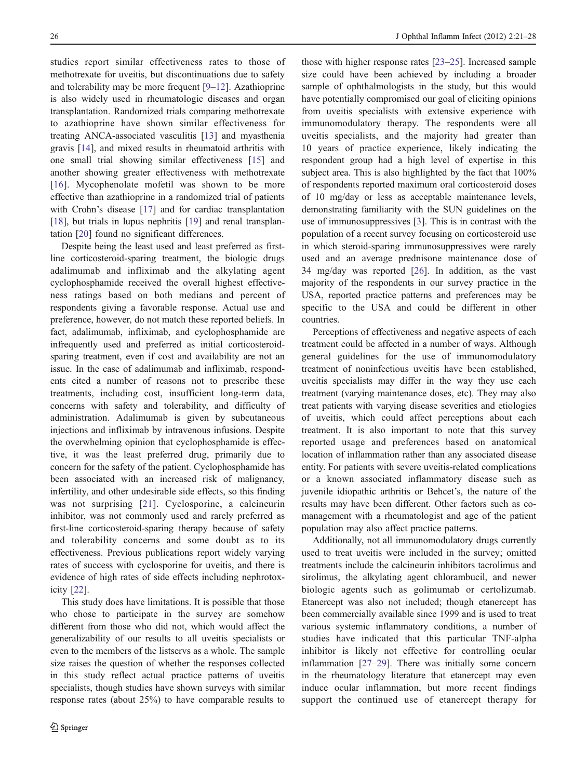studies report similar effectiveness rates to those of methotrexate for uveitis, but discontinuations due to safety and tolerability may be more frequent [[9](#page-6-0)–[12\]](#page-6-0). Azathioprine is also widely used in rheumatologic diseases and organ transplantation. Randomized trials comparing methotrexate to azathioprine have shown similar effectiveness for treating ANCA-associated vasculitis [\[13](#page-6-0)] and myasthenia gravis [\[14](#page-6-0)], and mixed results in rheumatoid arthritis with one small trial showing similar effectiveness [\[15](#page-6-0)] and another showing greater effectiveness with methotrexate [\[16\]](#page-6-0). Mycophenolate mofetil was shown to be more effective than azathioprine in a randomized trial of patients with Crohn's disease [\[17](#page-6-0)] and for cardiac transplantation [\[18](#page-6-0)], but trials in lupus nephritis [\[19](#page-6-0)] and renal transplantation [[20\]](#page-6-0) found no significant differences.

Despite being the least used and least preferred as firstline corticosteroid-sparing treatment, the biologic drugs adalimumab and infliximab and the alkylating agent cyclophosphamide received the overall highest effectiveness ratings based on both medians and percent of respondents giving a favorable response. Actual use and preference, however, do not match these reported beliefs. In fact, adalimumab, infliximab, and cyclophosphamide are infrequently used and preferred as initial corticosteroidsparing treatment, even if cost and availability are not an issue. In the case of adalimumab and infliximab, respondents cited a number of reasons not to prescribe these treatments, including cost, insufficient long-term data, concerns with safety and tolerability, and difficulty of administration. Adalimumab is given by subcutaneous injections and infliximab by intravenous infusions. Despite the overwhelming opinion that cyclophosphamide is effective, it was the least preferred drug, primarily due to concern for the safety of the patient. Cyclophosphamide has been associated with an increased risk of malignancy, infertility, and other undesirable side effects, so this finding was not surprising [[21](#page-7-0)]. Cyclosporine, a calcineurin inhibitor, was not commonly used and rarely preferred as first-line corticosteroid-sparing therapy because of safety and tolerability concerns and some doubt as to its effectiveness. Previous publications report widely varying rates of success with cyclosporine for uveitis, and there is evidence of high rates of side effects including nephrotoxicity [[22\]](#page-7-0).

This study does have limitations. It is possible that those who chose to participate in the survey are somehow different from those who did not, which would affect the generalizability of our results to all uveitis specialists or even to the members of the listservs as a whole. The sample size raises the question of whether the responses collected in this study reflect actual practice patterns of uveitis specialists, though studies have shown surveys with similar response rates (about 25%) to have comparable results to

those with higher response rates [[23](#page-7-0)–[25\]](#page-7-0). Increased sample size could have been achieved by including a broader sample of ophthalmologists in the study, but this would have potentially compromised our goal of eliciting opinions from uveitis specialists with extensive experience with immunomodulatory therapy. The respondents were all uveitis specialists, and the majority had greater than 10 years of practice experience, likely indicating the respondent group had a high level of expertise in this subject area. This is also highlighted by the fact that  $100\%$ of respondents reported maximum oral corticosteroid doses of 10 mg/day or less as acceptable maintenance levels, demonstrating familiarity with the SUN guidelines on the use of immunosuppressives [[3\]](#page-6-0). This is in contrast with the population of a recent survey focusing on corticosteroid use in which steroid-sparing immunosuppressives were rarely used and an average prednisone maintenance dose of 34 mg/day was reported [\[26](#page-7-0)]. In addition, as the vast majority of the respondents in our survey practice in the USA, reported practice patterns and preferences may be specific to the USA and could be different in other countries.

Perceptions of effectiveness and negative aspects of each treatment could be affected in a number of ways. Although general guidelines for the use of immunomodulatory treatment of noninfectious uveitis have been established, uveitis specialists may differ in the way they use each treatment (varying maintenance doses, etc). They may also treat patients with varying disease severities and etiologies of uveitis, which could affect perceptions about each treatment. It is also important to note that this survey reported usage and preferences based on anatomical location of inflammation rather than any associated disease entity. For patients with severe uveitis-related complications or a known associated inflammatory disease such as juvenile idiopathic arthritis or Behcet's, the nature of the results may have been different. Other factors such as comanagement with a rheumatologist and age of the patient population may also affect practice patterns.

Additionally, not all immunomodulatory drugs currently used to treat uveitis were included in the survey; omitted treatments include the calcineurin inhibitors tacrolimus and sirolimus, the alkylating agent chlorambucil, and newer biologic agents such as golimumab or certolizumab. Etanercept was also not included; though etanercept has been commercially available since 1999 and is used to treat various systemic inflammatory conditions, a number of studies have indicated that this particular TNF-alpha inhibitor is likely not effective for controlling ocular inflammation [\[27](#page-7-0)–[29](#page-7-0)]. There was initially some concern in the rheumatology literature that etanercept may even induce ocular inflammation, but more recent findings support the continued use of etanercept therapy for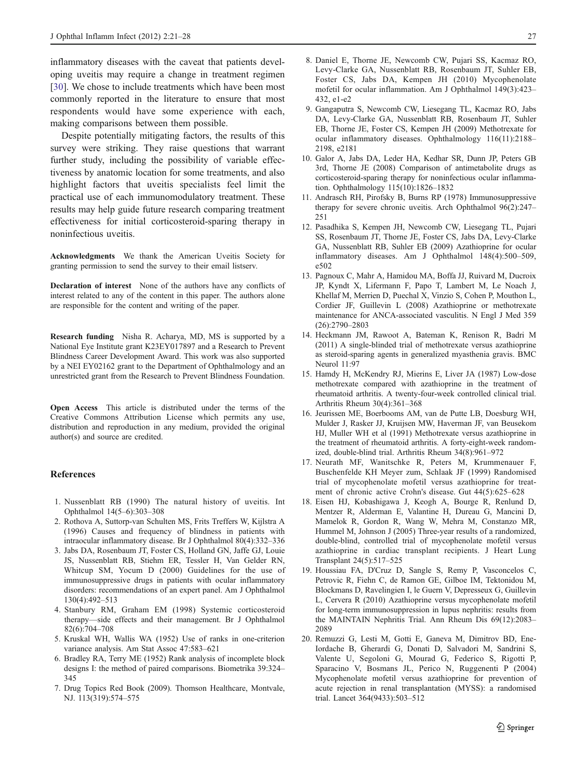<span id="page-6-0"></span>inflammatory diseases with the caveat that patients developing uveitis may require a change in treatment regimen [\[30](#page-7-0)]. We chose to include treatments which have been most commonly reported in the literature to ensure that most respondents would have some experience with each, making comparisons between them possible.

Despite potentially mitigating factors, the results of this survey were striking. They raise questions that warrant further study, including the possibility of variable effectiveness by anatomic location for some treatments, and also highlight factors that uveitis specialists feel limit the practical use of each immunomodulatory treatment. These results may help guide future research comparing treatment effectiveness for initial corticosteroid-sparing therapy in noninfectious uveitis.

Acknowledgments We thank the American Uveitis Society for granting permission to send the survey to their email listserv.

Declaration of interest None of the authors have any conflicts of interest related to any of the content in this paper. The authors alone are responsible for the content and writing of the paper.

Research funding Nisha R. Acharya, MD, MS is supported by a National Eye Institute grant K23EY017897 and a Research to Prevent Blindness Career Development Award. This work was also supported by a NEI EY02162 grant to the Department of Ophthalmology and an unrestricted grant from the Research to Prevent Blindness Foundation.

Open Access This article is distributed under the terms of the Creative Commons Attribution License which permits any use, distribution and reproduction in any medium, provided the original author(s) and source are credited.

#### References

- 1. Nussenblatt RB (1990) The natural history of uveitis. Int Ophthalmol 14(5–6):303–308
- 2. Rothova A, Suttorp-van Schulten MS, Frits Treffers W, Kijlstra A (1996) Causes and frequency of blindness in patients with intraocular inflammatory disease. Br J Ophthalmol 80(4):332–336
- 3. Jabs DA, Rosenbaum JT, Foster CS, Holland GN, Jaffe GJ, Louie JS, Nussenblatt RB, Stiehm ER, Tessler H, Van Gelder RN, Whitcup SM, Yocum D (2000) Guidelines for the use of immunosuppressive drugs in patients with ocular inflammatory disorders: recommendations of an expert panel. Am J Ophthalmol 130(4):492–513
- 4. Stanbury RM, Graham EM (1998) Systemic corticosteroid therapy—side effects and their management. Br J Ophthalmol 82(6):704–708
- 5. Kruskal WH, Wallis WA (1952) Use of ranks in one-criterion variance analysis. Am Stat Assoc 47:583–621
- 6. Bradley RA, Terry ME (1952) Rank analysis of incomplete block designs I: the method of paired comparisons. Biometrika 39:324– 345
- 7. Drug Topics Red Book (2009). Thomson Healthcare, Montvale, NJ. 113(319):574–575
- 8. Daniel E, Thorne JE, Newcomb CW, Pujari SS, Kacmaz RO, Levy-Clarke GA, Nussenblatt RB, Rosenbaum JT, Suhler EB, Foster CS, Jabs DA, Kempen JH (2010) Mycophenolate mofetil for ocular inflammation. Am J Ophthalmol 149(3):423– 432, e1-e2
- 9. Gangaputra S, Newcomb CW, Liesegang TL, Kacmaz RO, Jabs DA, Levy-Clarke GA, Nussenblatt RB, Rosenbaum JT, Suhler EB, Thorne JE, Foster CS, Kempen JH (2009) Methotrexate for ocular inflammatory diseases. Ophthalmology 116(11):2188– 2198, e2181
- 10. Galor A, Jabs DA, Leder HA, Kedhar SR, Dunn JP, Peters GB 3rd, Thorne JE (2008) Comparison of antimetabolite drugs as corticosteroid-sparing therapy for noninfectious ocular inflammation. Ophthalmology 115(10):1826–1832
- 11. Andrasch RH, Pirofsky B, Burns RP (1978) Immunosuppressive therapy for severe chronic uveitis. Arch Ophthalmol 96(2):247– 251
- 12. Pasadhika S, Kempen JH, Newcomb CW, Liesegang TL, Pujari SS, Rosenbaum JT, Thorne JE, Foster CS, Jabs DA, Levy-Clarke GA, Nussenblatt RB, Suhler EB (2009) Azathioprine for ocular inflammatory diseases. Am J Ophthalmol 148(4):500–509, e502
- 13. Pagnoux C, Mahr A, Hamidou MA, Boffa JJ, Ruivard M, Ducroix JP, Kyndt X, Lifermann F, Papo T, Lambert M, Le Noach J, Khellaf M, Merrien D, Puechal X, Vinzio S, Cohen P, Mouthon L, Cordier JF, Guillevin L (2008) Azathioprine or methotrexate maintenance for ANCA-associated vasculitis. N Engl J Med 359 (26):2790–2803
- 14. Heckmann JM, Rawoot A, Bateman K, Renison R, Badri M (2011) A single-blinded trial of methotrexate versus azathioprine as steroid-sparing agents in generalized myasthenia gravis. BMC Neurol 11:97
- 15. Hamdy H, McKendry RJ, Mierins E, Liver JA (1987) Low-dose methotrexate compared with azathioprine in the treatment of rheumatoid arthritis. A twenty-four-week controlled clinical trial. Arthritis Rheum 30(4):361–368
- 16. Jeurissen ME, Boerbooms AM, van de Putte LB, Doesburg WH, Mulder J, Rasker JJ, Kruijsen MW, Haverman JF, van Beusekom HJ, Muller WH et al (1991) Methotrexate versus azathioprine in the treatment of rheumatoid arthritis. A forty-eight-week randomized, double-blind trial. Arthritis Rheum 34(8):961–972
- 17. Neurath MF, Wanitschke R, Peters M, Krummenauer F, Buschenfelde KH Meyer zum, Schlaak JF (1999) Randomised trial of mycophenolate mofetil versus azathioprine for treatment of chronic active Crohn's disease. Gut 44(5):625–628
- 18. Eisen HJ, Kobashigawa J, Keogh A, Bourge R, Renlund D, Mentzer R, Alderman E, Valantine H, Dureau G, Mancini D, Mamelok R, Gordon R, Wang W, Mehra M, Constanzo MR, Hummel M, Johnson J (2005) Three-year results of a randomized, double-blind, controlled trial of mycophenolate mofetil versus azathioprine in cardiac transplant recipients. J Heart Lung Transplant 24(5):517–525
- 19. Houssiau FA, D'Cruz D, Sangle S, Remy P, Vasconcelos C, Petrovic R, Fiehn C, de Ramon GE, Gilboe IM, Tektonidou M, Blockmans D, Ravelingien I, le Guern V, Depresseux G, Guillevin L, Cervera R (2010) Azathioprine versus mycophenolate mofetil for long-term immunosuppression in lupus nephritis: results from the MAINTAIN Nephritis Trial. Ann Rheum Dis 69(12):2083– 2089
- 20. Remuzzi G, Lesti M, Gotti E, Ganeva M, Dimitrov BD, Ene-Iordache B, Gherardi G, Donati D, Salvadori M, Sandrini S, Valente U, Segoloni G, Mourad G, Federico S, Rigotti P, Sparacino V, Bosmans JL, Perico N, Ruggenenti P (2004) Mycophenolate mofetil versus azathioprine for prevention of acute rejection in renal transplantation (MYSS): a randomised trial. Lancet 364(9433):503–512